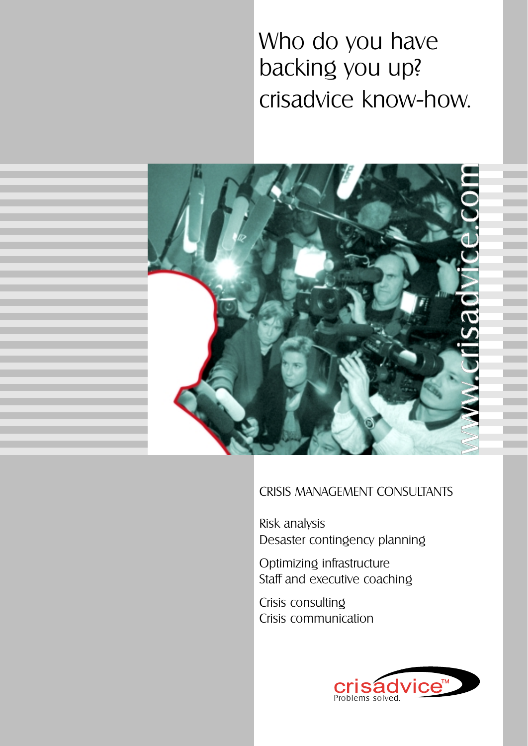# Who do you have backing you up? crisadvice know-how.



### CRISIS MANAGEMENT CONSULTANTS

Risk analysis Desaster contingency planning

Optimizing infrastructure Staff and executive coaching

Crisis consulting Crisis communication

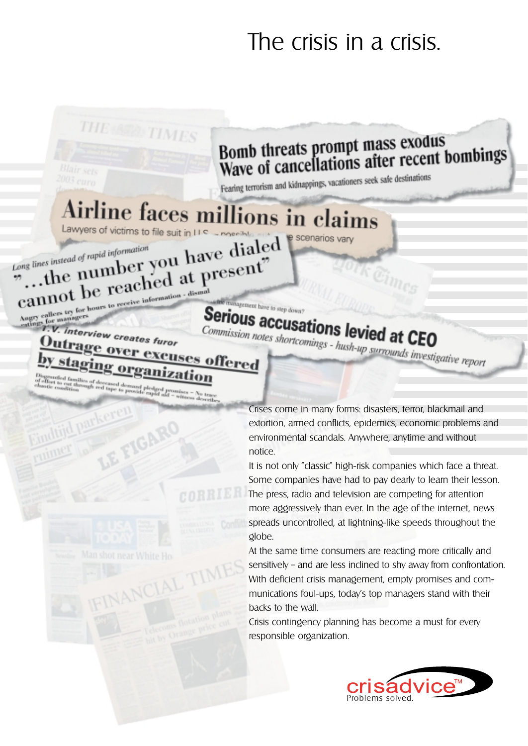# The crisis in a crisis.

# **Bomb threats prompt mass exodus** Bomb threats prompt mass exours<br>Wave of cancellations after recent bombings

Fearing terrorism and kidnappings, vacationers seek safe destinations

e scenarios vary

# Airline faces millions in claims Lawyers of victims to file suit in LLS

THE AND TIMES

the number you have dialed<br>the number you have dialed<br>the number you at present? Long lines instead of rapid information Cannot be reached at present?

cannot be receive information<br>Angry callers try for bours to receive information<br>ordings for managers<br>T.V. interview creates furor

**Qutrage** 

**Serious accusations levied at CEO** Commission notes shortcomings - hush-up surrounds investigative report

Ver excuses offered

the management have to step down

IGAR

Crises come in many forms: disasters, terror, blackmail and extortion, armed conflicts, epidemics, economic problems and environmental scandals. Anywhere, anytime and without notice.

It is not only "classic" high-risk companies which face a threat. Some companies have had to pay dearly to learn their lesson. The press, radio and television are competing for attention more aggressively than ever. In the age of the internet, news spreads uncontrolled, at lightning-like speeds throughout the globe.

At the same time consumers are reacting more critically and sensitively – and are less inclined to shy away from confrontation. With deficient crisis management, empty promises and communications foul-ups, today's top managers stand with their backs to the wall.

Crisis contingency planning has become a must for every responsible organization.

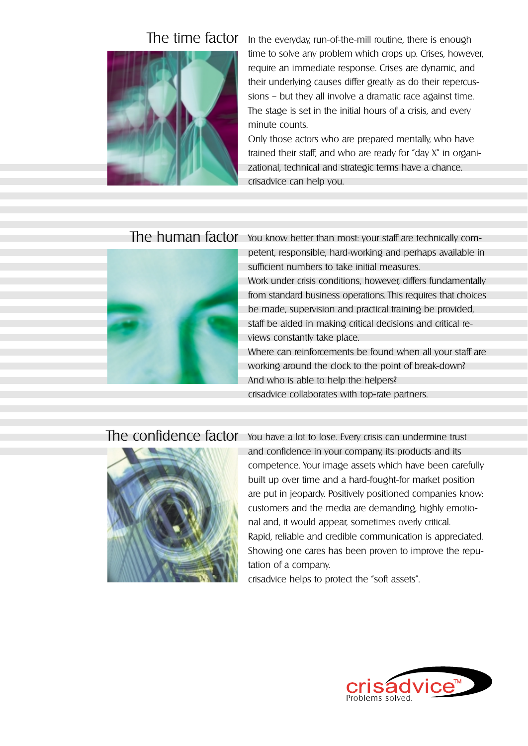

The time factor In the everyday, run-of-the-mill routine, there is enough time to solve any problem which crops up. Crises, however, require an immediate response. Crises are dynamic, and their underlying causes differ greatly as do their repercussions – but they all involve a dramatic race against time. The stage is set in the initial hours of a crisis, and every minute counts.

> Only those actors who are prepared mentally, who have trained their staff, and who are ready for "day X" in organizational, technical and strategic terms have a chance. crisadvice can help you.

### The human factor



You know better than most: your staff are technically competent, responsible, hard-working and perhaps available in sufficient numbers to take initial measures. Work under crisis conditions, however, differs fundamentally from standard business operations. This requires that choices be made, supervision and practical training be provided, staff be aided in making critical decisions and critical reviews constantly take place. Where can reinforcements be found when all your staff are

working around the clock to the point of break-down? And who is able to help the helpers? crisadvice collaborates with top-rate partners.

### The confidence factor



You have a lot to lose. Every crisis can undermine trust and confidence in your company, its products and its competence. Your image assets which have been carefully built up over time and a hard-fought-for market position are put in jeopardy. Positively positioned companies know: customers and the media are demanding, highly emotional and, it would appear, sometimes overly critical. Rapid, reliable and credible communication is appreciated. Showing one cares has been proven to improve the reputation of a company.

crisadvice helps to protect the "soft assets".

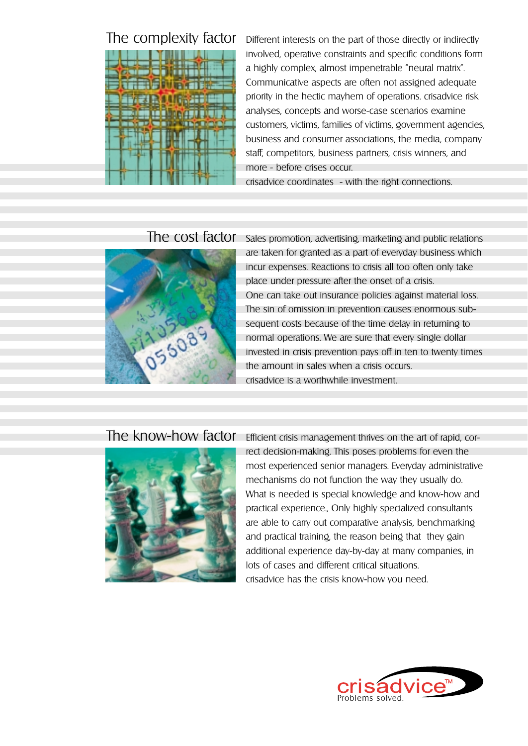

The complexity factor Different interests on the part of those directly or indirectly involved, operative constraints and specific conditions form a highly complex, almost impenetrable "neural matrix". Communicative aspects are often not assigned adequate priority in the hectic mayhem of operations. crisadvice risk analyses, concepts and worse-case scenarios examine customers, victims, families of victims, government agencies, business and consumer associations, the media, company staff, competitors, business partners, crisis winners, and more - before crises occur.

crisadvice coordinates - with the right connections.

## The cost factor



Sales promotion, advertising, marketing and public relations are taken for granted as a part of everyday business which incur expenses. Reactions to crisis all too often only take place under pressure after the onset of a crisis. One can take out insurance policies against material loss. The sin of omission in prevention causes enormous subsequent costs because of the time delay in returning to normal operations. We are sure that every single dollar invested in crisis prevention pays off in ten to twenty times the amount in sales when a crisis occurs. crisadvice is a worthwhile investment.

## The know-how factor



Efficient crisis management thrives on the art of rapid, correct decision-making. This poses problems for even the most experienced senior managers. Everyday administrative mechanisms do not function the way they usually do. What is needed is special knowledge and know-how and practical experience., Only highly specialized consultants are able to carry out comparative analysis, benchmarking and practical training, the reason being that they gain additional experience day-by-day at many companies, in lots of cases and different critical situations. crisadvice has the crisis know-how you need.

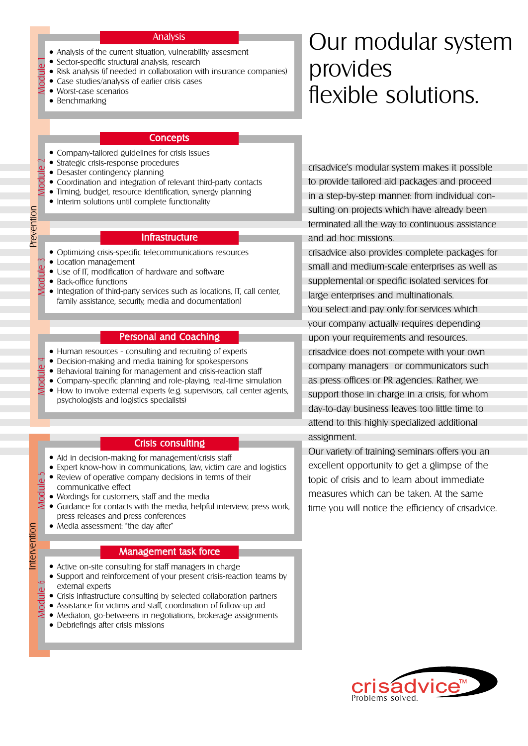#### Analysis

- Analysis of the current situation, vulnerability assesment
- Sector-specific structural analysis, research
- Risk analysis (if needed in collaboration with insurance companies)
- Case studies/analysis of earlier crisis cases
- Worst-case scenarios
- Benchmarking

Module 1

Module 2

Prevention

### **Concepts**

- Company-tailored guidelines for crisis issues
- Strategic crisis-response procedures
- Desaster contingency planning
- Coordination and integration of relevant third-party contacts
- Timing, budget, resource identification, synergy planning
- Interim solutions until complete functionality

### **Infrastructure**

- Optimizing crisis-specific telecommunications resources
- Location management
- Use of IT, modification of hardware and software
- Back-office functions

Intervention Prevention

Module 6

Interventior

Module 3 ● Integration of third-party services such as locations, IT, call center, family assistance, security, media and documentation)

### Personal and Coaching

- Human resources consulting and recruiting of experts
- Decision-making and media training for spokespersons
- Behavioral training for management and crisis-reaction staff
- Module 4 • Company-specific planning and role-playing, real-time simulation • How to involve external experts (e.g. supervisors, call center agents, psychologists and logistics specialists)

#### Crisis consulting

- Aid in decision-making for management/crisis staff
- Expert know-how in communications, law, victim care and logistics
- Module 5 • Review of operative company decisions in terms of their communicative effect
	- Wordings for customers, staff and the media
	- Guidance for contacts with the media, helpful interview, press work, press releases and press conferences
	- Media assessment: "the day after"

#### Management task force

- Active on-site consulting for staff managers in charge
- Support and reinforcement of your present crisis-reaction teams by external experts
- Crisis infrastructure consulting by selected collaboration partners
- Assistance for victims and staff, coordination of follow-up aid
- Mediaton, go-betweens in negotiations, brokerage assignments
- Debriefings after crisis missions

# Our modular system provides flexible solutions.

crisadvice's modular system makes it possible to provide tailored aid packages and proceed in a step-by-step manner: from individual consulting on projects which have already been terminated all the way to continuous assistance and ad hoc missions.

crisadvice also provides complete packages for small and medium-scale enterprises as well as supplemental or specific isolated services for large enterprises and multinationals. You select and pay only for services which your company actually requires depending upon your requirements and resources. crisadvice does not compete with your own company managers or communicators such as press offices or PR agencies. Rather, we support those in charge in a crisis, for whom day-to-day business leaves too little time to attend to this highly specialized additional assignment.

Our variety of training seminars offers you an excellent opportunity to get a glimpse of the topic of crisis and to learn about immediate measures which can be taken. At the same time you will notice the efficiency of crisadvice.